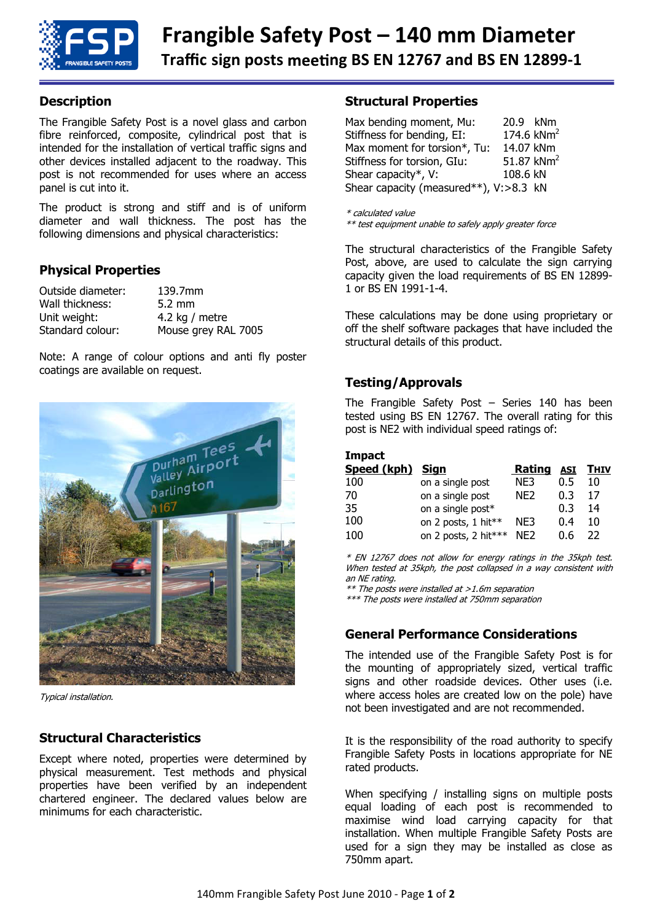

## **Description**

The Frangible Safety Post is a novel glass and carbon fibre reinforced, composite, cylindrical post that is intended for the installation of vertical traffic signs and other devices installed adjacent to the roadway. This post is not recommended for uses where an access panel is cut into it.

The product is strong and stiff and is of uniform diameter and wall thickness. The post has the following dimensions and physical characteristics:

#### **Physical Properties**

| Outside diameter: | 139.7mm             |
|-------------------|---------------------|
| Wall thickness:   | $5.2 \text{ mm}$    |
| Unit weight:      | 4.2 kg / metre      |
| Standard colour:  | Mouse grey RAL 7005 |

Note: A range of colour options and anti fly poster coatings are available on request.



Typical installation.

## **Structural Characteristics**

Except where noted, properties were determined by physical measurement. Test methods and physical properties have been verified by an independent chartered engineer. The declared values below are minimums for each characteristic.

#### **Structural Properties**

| Max bending moment, Mu:                | 20.9 kNm       |
|----------------------------------------|----------------|
| Stiffness for bending, EI:             | 174.6 $kNm2$   |
| Max moment for torsion*, Tu:           | 14.07 kNm      |
| Stiffness for torsion, GIu:            | 51.87 $km^{2}$ |
| Shear capacity*, V:                    | 108.6 kN       |
| Shear capacity (measured**), V:>8.3 kN |                |

\* calculated value

\*\* test equipment unable to safely apply greater force

The structural characteristics of the Frangible Safety Post, above, are used to calculate the sign carrying capacity given the load requirements of BS EN 12899- 1 or BS EN 1991-1-4.

These calculations may be done using proprietary or off the shelf software packages that have included the structural details of this product.

## **Testing/Approvals**

The Frangible Safety Post – Series 140 has been tested using BS EN 12767. The overall rating for this post is NE2 with individual speed ratings of:

#### **Impact**

| Speed (kph) Sign |                      | <b>Rating</b>   |     | <u>asi Thiv</u> |
|------------------|----------------------|-----------------|-----|-----------------|
| 100              | on a single post     | NE3             | 0.5 | 10              |
| 70               | on a single post     | NF <sub>2</sub> | 0.3 | 17              |
| 35.              | on a single post*    |                 | 0.3 | 14              |
| 100              | on 2 posts, 1 hit**  | NE3             | 0.4 | 10              |
| 100              | on 2 posts, 2 hit*** | NF <sub>2</sub> | 0.6 | フフ              |

\* EN 12767 does not allow for energy ratings in the 35kph test. When tested at 35kph, the post collapsed in a way consistent with an NE rating.

\*\* The posts were installed at >1.6m separation

\*\*\* The posts were installed at 750mm separation

## **General Performance Considerations**

The intended use of the Frangible Safety Post is for the mounting of appropriately sized, vertical traffic signs and other roadside devices. Other uses (i.e. where access holes are created low on the pole) have not been investigated and are not recommended.

It is the responsibility of the road authority to specify Frangible Safety Posts in locations appropriate for NE rated products.

When specifying / installing signs on multiple posts equal loading of each post is recommended to maximise wind load carrying capacity for that installation. When multiple Frangible Safety Posts are used for a sign they may be installed as close as 750mm apart.